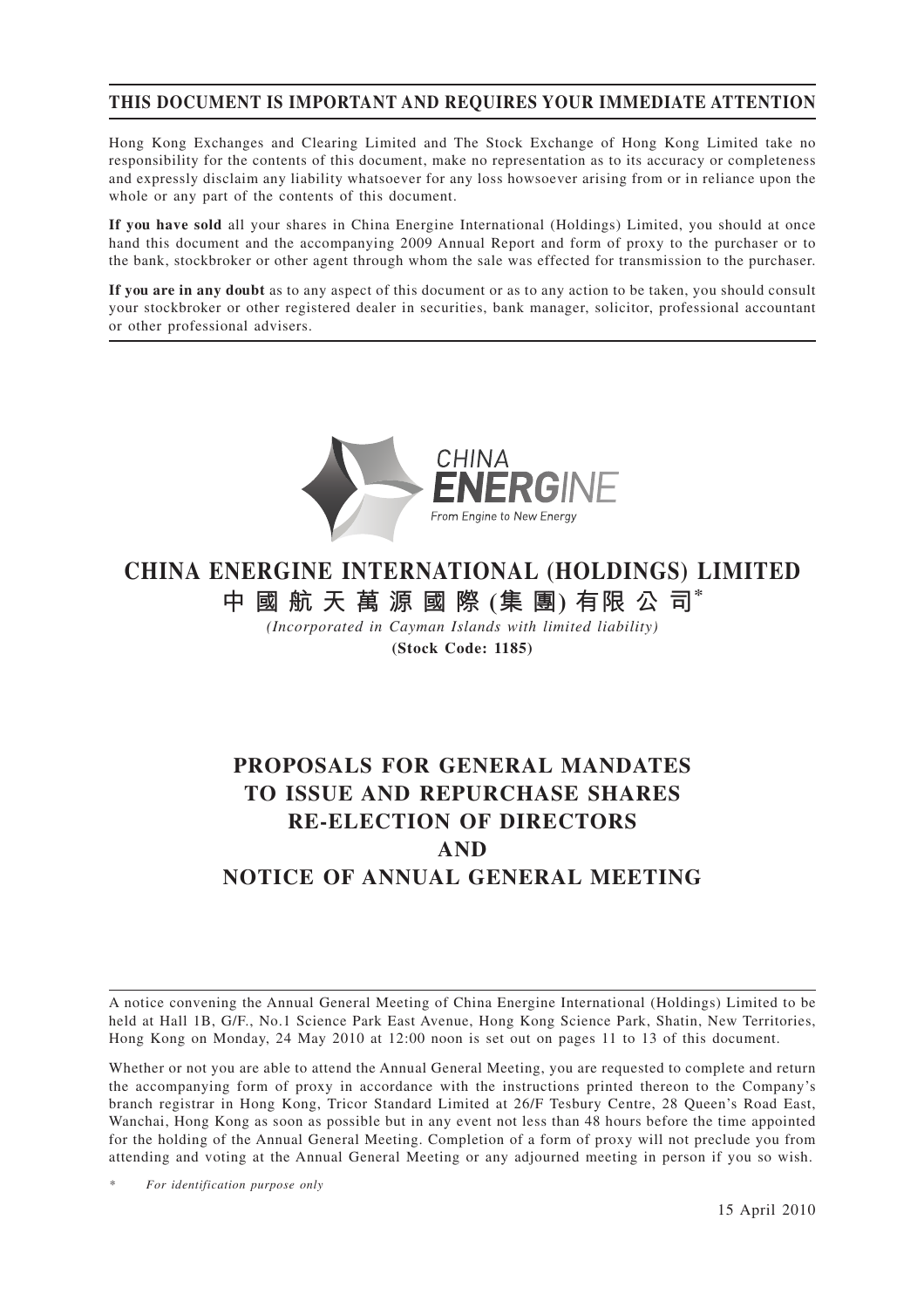## **THIS DOCUMENT IS IMPORTANT AND REQUIRES YOUR IMMEDIATE ATTENTION**

Hong Kong Exchanges and Clearing Limited and The Stock Exchange of Hong Kong Limited take no responsibility for the contents of this document, make no representation as to its accuracy or completeness and expressly disclaim any liability whatsoever for any loss howsoever arising from or in reliance upon the whole or any part of the contents of this document.

**If you have sold** all your shares in China Energine International (Holdings) Limited, you should at once hand this document and the accompanying 2009 Annual Report and form of proxy to the purchaser or to the bank, stockbroker or other agent through whom the sale was effected for transmission to the purchaser.

**If you are in any doubt** as to any aspect of this document or as to any action to be taken, you should consult your stockbroker or other registered dealer in securities, bank manager, solicitor, professional accountant or other professional advisers.



# **CHINA ENERGINE INTERNATIONAL (HOLDINGS) LIMITED 中國航天萬源國際 (集 團) 有限 公 司\***

*(Incorporated in Cayman Islands with limited liability)*

**(Stock Code: 1185)**

# **PROPOSALS FOR GENERAL MANDATES TO ISSUE AND REPURCHASE SHARES RE-ELECTION OF DIRECTORS AND NOTICE OF ANNUAL GENERAL MEETING**

A notice convening the Annual General Meeting of China Energine International (Holdings) Limited to be held at Hall 1B, G/F., No.1 Science Park East Avenue, Hong Kong Science Park, Shatin, New Territories, Hong Kong on Monday, 24 May 2010 at 12:00 noon is set out on pages 11 to 13 of this document.

Whether or not you are able to attend the Annual General Meeting, you are requested to complete and return the accompanying form of proxy in accordance with the instructions printed thereon to the Company's branch registrar in Hong Kong, Tricor Standard Limited at 26/F Tesbury Centre, 28 Queen's Road East, Wanchai, Hong Kong as soon as possible but in any event not less than 48 hours before the time appointed for the holding of the Annual General Meeting. Completion of a form of proxy will not preclude you from attending and voting at the Annual General Meeting or any adjourned meeting in person if you so wish.

*\* For identification purpose only*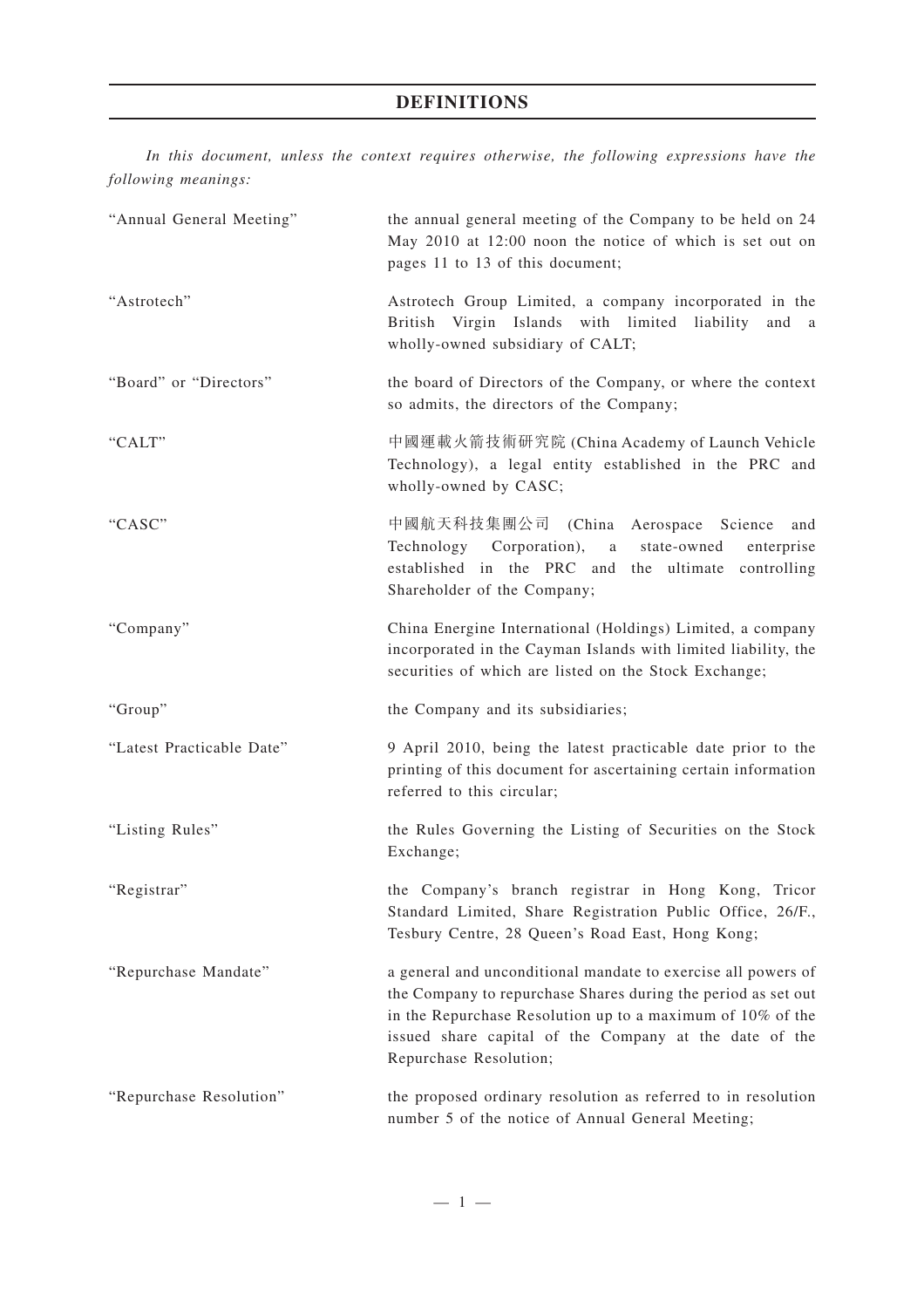## **DEFINITIONS**

*In this document, unless the context requires otherwise, the following expressions have the following meanings:*

| "Annual General Meeting"  | the annual general meeting of the Company to be held on 24<br>May 2010 at 12:00 noon the notice of which is set out on<br>pages 11 to 13 of this document;                                                                                                                       |  |
|---------------------------|----------------------------------------------------------------------------------------------------------------------------------------------------------------------------------------------------------------------------------------------------------------------------------|--|
| "Astrotech"               | Astrotech Group Limited, a company incorporated in the<br>British Virgin Islands with limited liability<br>and a<br>wholly-owned subsidiary of CALT;                                                                                                                             |  |
| "Board" or "Directors"    | the board of Directors of the Company, or where the context<br>so admits, the directors of the Company;                                                                                                                                                                          |  |
| "CALT"                    | 中國運載火箭技術研究院 (China Academy of Launch Vehicle<br>Technology), a legal entity established in the PRC and<br>wholly-owned by CASC;                                                                                                                                                  |  |
| "CASC"                    | 中國航天科技集團公司 (China Aerospace<br>Science<br>and<br>Technology Corporation), a<br>state-owned<br>enterprise<br>established in the PRC and the ultimate controlling<br>Shareholder of the Company;                                                                                   |  |
| "Company"                 | China Energine International (Holdings) Limited, a company<br>incorporated in the Cayman Islands with limited liability, the<br>securities of which are listed on the Stock Exchange;                                                                                            |  |
| "Group"                   | the Company and its subsidiaries;                                                                                                                                                                                                                                                |  |
| "Latest Practicable Date" | 9 April 2010, being the latest practicable date prior to the<br>printing of this document for ascertaining certain information<br>referred to this circular;                                                                                                                     |  |
| "Listing Rules"           | the Rules Governing the Listing of Securities on the Stock<br>Exchange;                                                                                                                                                                                                          |  |
| "Registrar"               | the Company's branch registrar in Hong Kong, Tricor<br>Standard Limited, Share Registration Public Office, 26/F.,<br>Tesbury Centre, 28 Queen's Road East, Hong Kong;                                                                                                            |  |
| "Repurchase Mandate"      | a general and unconditional mandate to exercise all powers of<br>the Company to repurchase Shares during the period as set out<br>in the Repurchase Resolution up to a maximum of 10% of the<br>issued share capital of the Company at the date of the<br>Repurchase Resolution; |  |
| "Repurchase Resolution"   | the proposed ordinary resolution as referred to in resolution<br>number 5 of the notice of Annual General Meeting;                                                                                                                                                               |  |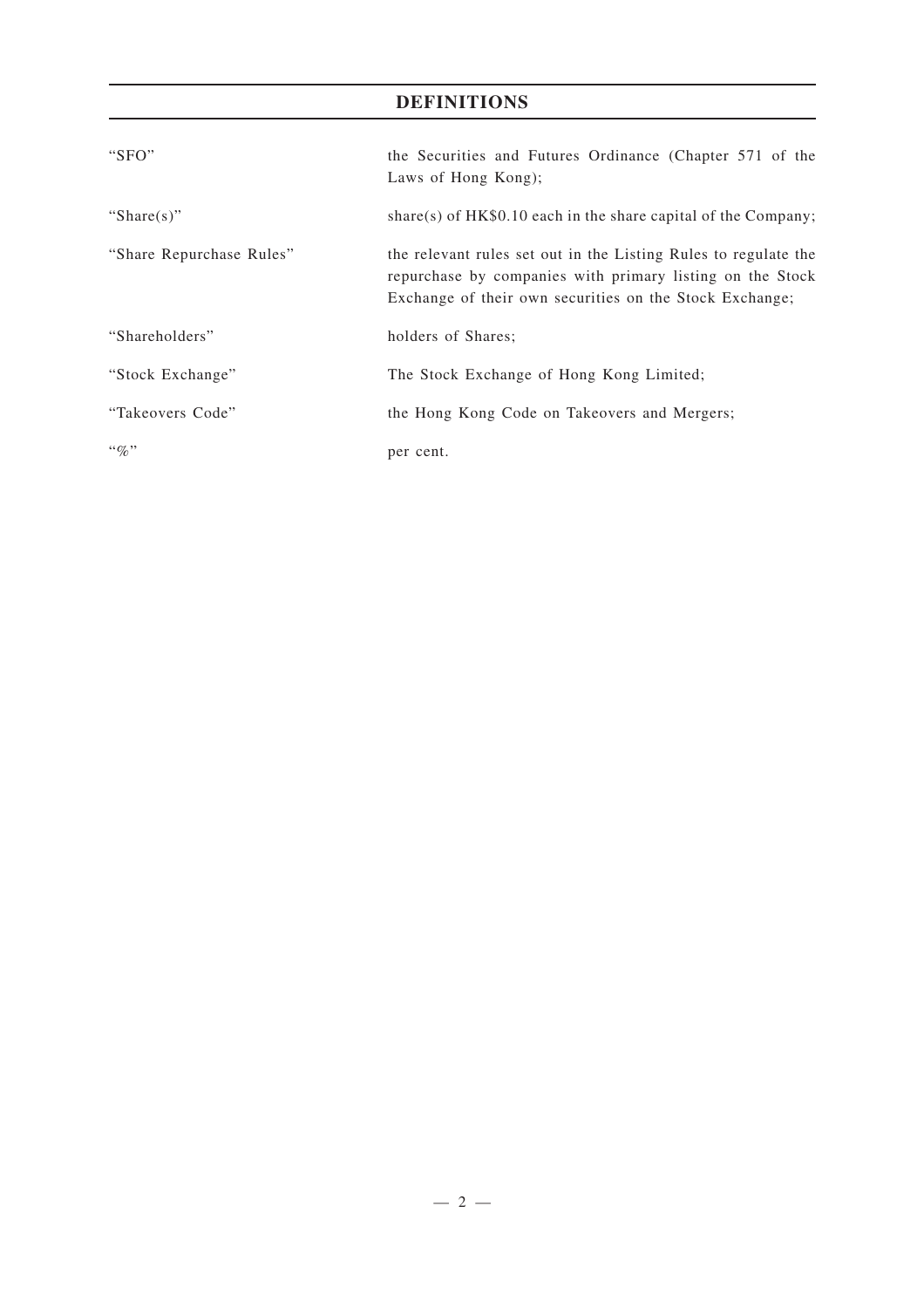# **DEFINITIONS**

| " $SFO"$                 | the Securities and Futures Ordinance (Chapter 571 of the<br>Laws of Hong Kong);                                                                                                         |
|--------------------------|-----------------------------------------------------------------------------------------------------------------------------------------------------------------------------------------|
| "Share $(s)$ "           | share(s) of $HK\$0.10$ each in the share capital of the Company;                                                                                                                        |
| "Share Repurchase Rules" | the relevant rules set out in the Listing Rules to regulate the<br>repurchase by companies with primary listing on the Stock<br>Exchange of their own securities on the Stock Exchange; |
| "Shareholders"           | holders of Shares;                                                                                                                                                                      |
| "Stock Exchange"         | The Stock Exchange of Hong Kong Limited;                                                                                                                                                |
| "Takeovers Code"         | the Hong Kong Code on Takeovers and Mergers;                                                                                                                                            |
| $\lq\lq q_0$ "           | per cent.                                                                                                                                                                               |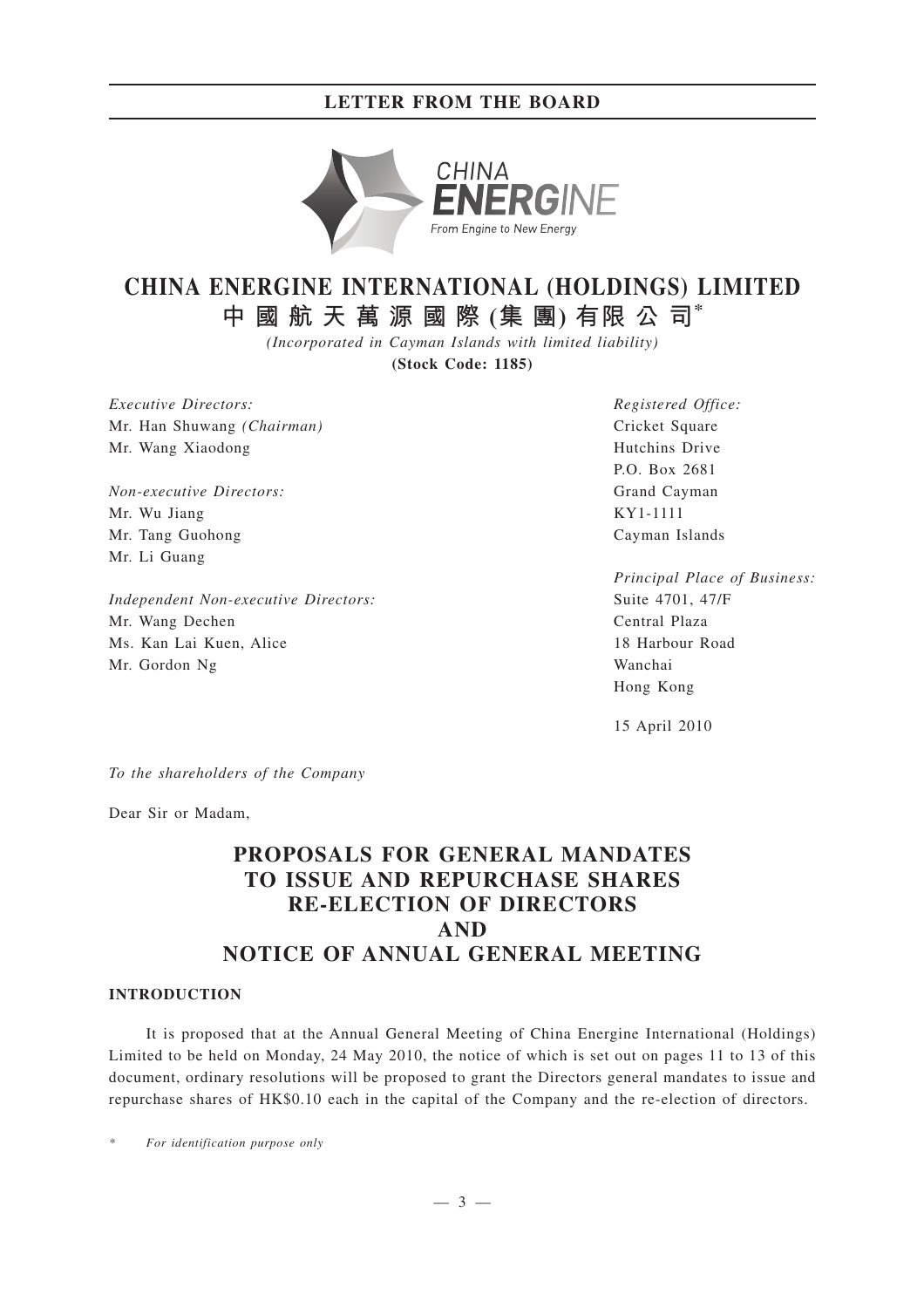## **LETTER FROM THE BOARD**



# **CHINA ENERGINE INTERNATIONAL (HOLDINGS) LIMITED 中國航天萬源國際 (集 團) 有限 公 司\***

*(Incorporated in Cayman Islands with limited liability)*

**(Stock Code: 1185)**

*Executive Directors:* Mr. Han Shuwang *(Chairman)* Mr. Wang Xiaodong

*Non-executive Directors:* Mr. Wu Jiang Mr. Tang Guohong Mr. Li Guang

*Independent Non-executive Directors:* Mr. Wang Dechen Ms. Kan Lai Kuen, Alice Mr. Gordon Ng

*Registered Office:* Cricket Square Hutchins Drive P.O. Box 2681 Grand Cayman KY1-1111 Cayman Islands

*Principal Place of Business:* Suite 4701, 47/F Central Plaza 18 Harbour Road Wanchai Hong Kong

15 April 2010

*To the shareholders of the Company*

Dear Sir or Madam,

# **PROPOSALS FOR GENERAL MANDATES TO ISSUE AND REPURCHASE SHARES RE-ELECTION OF DIRECTORS AND NOTICE OF ANNUAL GENERAL MEETING**

#### **INTRODUCTION**

It is proposed that at the Annual General Meeting of China Energine International (Holdings) Limited to be held on Monday, 24 May 2010, the notice of which is set out on pages 11 to 13 of this document, ordinary resolutions will be proposed to grant the Directors general mandates to issue and repurchase shares of HK\$0.10 each in the capital of the Company and the re-election of directors.

*\* For identification purpose only*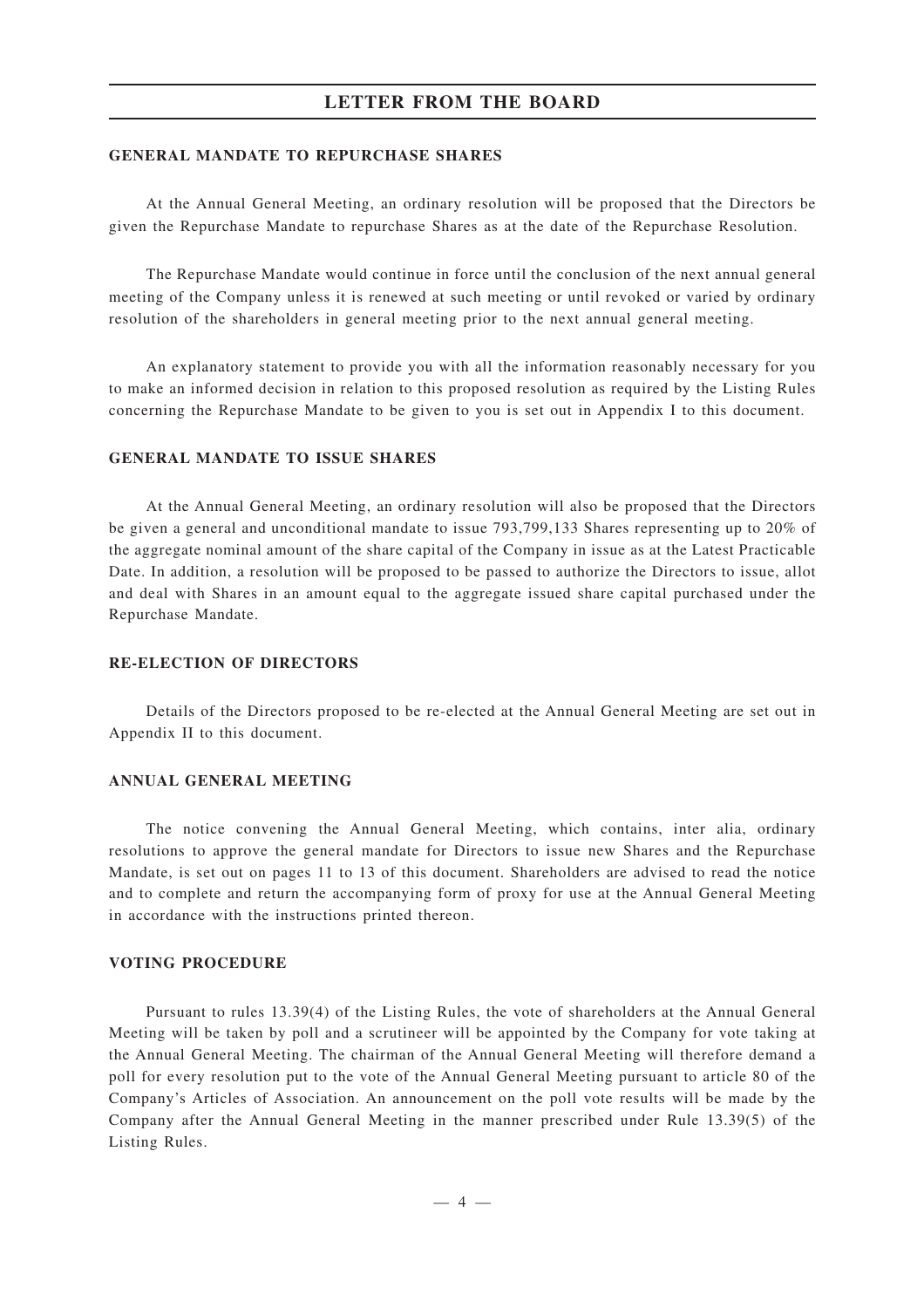### **LETTER FROM THE BOARD**

#### **GENERAL MANDATE TO REPURCHASE SHARES**

At the Annual General Meeting, an ordinary resolution will be proposed that the Directors be given the Repurchase Mandate to repurchase Shares as at the date of the Repurchase Resolution.

The Repurchase Mandate would continue in force until the conclusion of the next annual general meeting of the Company unless it is renewed at such meeting or until revoked or varied by ordinary resolution of the shareholders in general meeting prior to the next annual general meeting.

An explanatory statement to provide you with all the information reasonably necessary for you to make an informed decision in relation to this proposed resolution as required by the Listing Rules concerning the Repurchase Mandate to be given to you is set out in Appendix I to this document.

#### **GENERAL MANDATE TO ISSUE SHARES**

At the Annual General Meeting, an ordinary resolution will also be proposed that the Directors be given a general and unconditional mandate to issue 793,799,133 Shares representing up to 20% of the aggregate nominal amount of the share capital of the Company in issue as at the Latest Practicable Date. In addition, a resolution will be proposed to be passed to authorize the Directors to issue, allot and deal with Shares in an amount equal to the aggregate issued share capital purchased under the Repurchase Mandate.

#### **RE-ELECTION OF DIRECTORS**

Details of the Directors proposed to be re-elected at the Annual General Meeting are set out in Appendix II to this document.

#### **ANNUAL GENERAL MEETING**

The notice convening the Annual General Meeting, which contains, inter alia, ordinary resolutions to approve the general mandate for Directors to issue new Shares and the Repurchase Mandate, is set out on pages 11 to 13 of this document. Shareholders are advised to read the notice and to complete and return the accompanying form of proxy for use at the Annual General Meeting in accordance with the instructions printed thereon.

#### **VOTING PROCEDURE**

Pursuant to rules 13.39(4) of the Listing Rules, the vote of shareholders at the Annual General Meeting will be taken by poll and a scrutineer will be appointed by the Company for vote taking at the Annual General Meeting. The chairman of the Annual General Meeting will therefore demand a poll for every resolution put to the vote of the Annual General Meeting pursuant to article 80 of the Company's Articles of Association. An announcement on the poll vote results will be made by the Company after the Annual General Meeting in the manner prescribed under Rule 13.39(5) of the Listing Rules.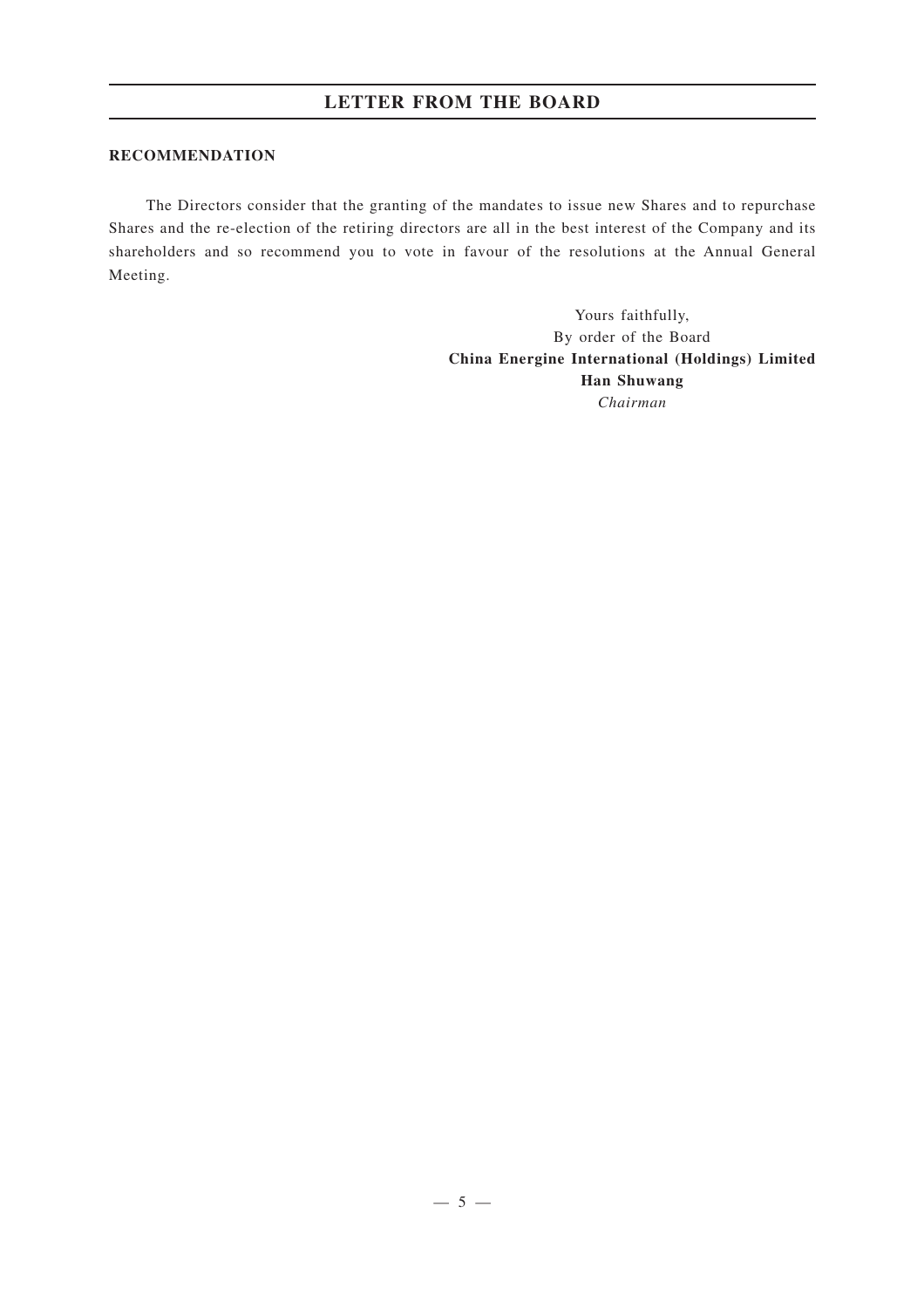#### **RECOMMENDATION**

The Directors consider that the granting of the mandates to issue new Shares and to repurchase Shares and the re-election of the retiring directors are all in the best interest of the Company and its shareholders and so recommend you to vote in favour of the resolutions at the Annual General Meeting.

> Yours faithfully, By order of the Board **China Energine International (Holdings) Limited Han Shuwang** *Chairman*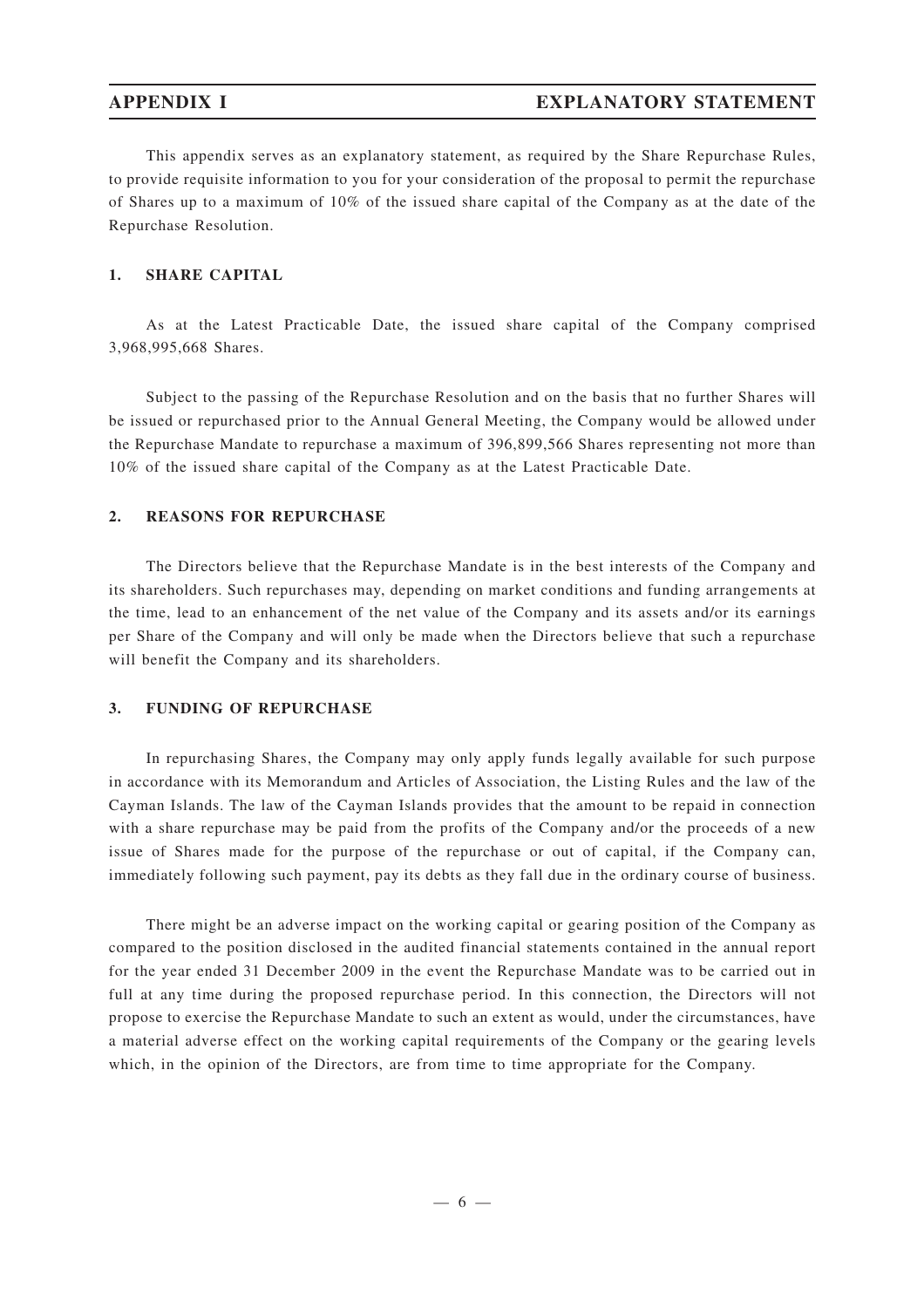This appendix serves as an explanatory statement, as required by the Share Repurchase Rules, to provide requisite information to you for your consideration of the proposal to permit the repurchase of Shares up to a maximum of 10% of the issued share capital of the Company as at the date of the Repurchase Resolution.

#### **1. SHARE CAPITAL**

As at the Latest Practicable Date, the issued share capital of the Company comprised 3,968,995,668 Shares.

Subject to the passing of the Repurchase Resolution and on the basis that no further Shares will be issued or repurchased prior to the Annual General Meeting, the Company would be allowed under the Repurchase Mandate to repurchase a maximum of 396,899,566 Shares representing not more than 10% of the issued share capital of the Company as at the Latest Practicable Date.

#### **2. REASONS FOR REPURCHASE**

The Directors believe that the Repurchase Mandate is in the best interests of the Company and its shareholders. Such repurchases may, depending on market conditions and funding arrangements at the time, lead to an enhancement of the net value of the Company and its assets and/or its earnings per Share of the Company and will only be made when the Directors believe that such a repurchase will benefit the Company and its shareholders.

#### **3. FUNDING OF REPURCHASE**

In repurchasing Shares, the Company may only apply funds legally available for such purpose in accordance with its Memorandum and Articles of Association, the Listing Rules and the law of the Cayman Islands. The law of the Cayman Islands provides that the amount to be repaid in connection with a share repurchase may be paid from the profits of the Company and/or the proceeds of a new issue of Shares made for the purpose of the repurchase or out of capital, if the Company can, immediately following such payment, pay its debts as they fall due in the ordinary course of business.

There might be an adverse impact on the working capital or gearing position of the Company as compared to the position disclosed in the audited financial statements contained in the annual report for the year ended 31 December 2009 in the event the Repurchase Mandate was to be carried out in full at any time during the proposed repurchase period. In this connection, the Directors will not propose to exercise the Repurchase Mandate to such an extent as would, under the circumstances, have a material adverse effect on the working capital requirements of the Company or the gearing levels which, in the opinion of the Directors, are from time to time appropriate for the Company.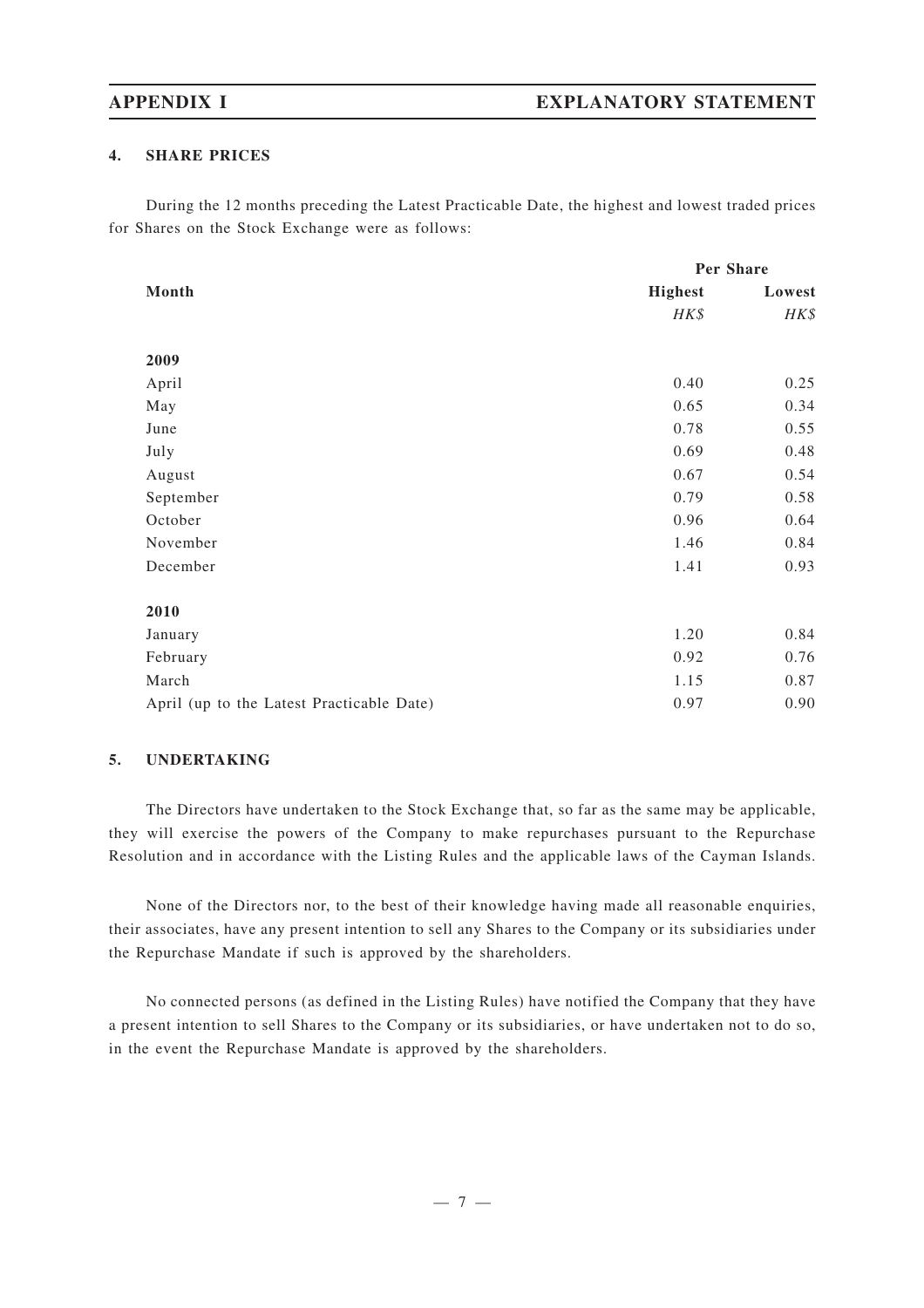#### **4. SHARE PRICES**

During the 12 months preceding the Latest Practicable Date, the highest and lowest traded prices for Shares on the Stock Exchange were as follows:

|                                           | Per Share      |        |
|-------------------------------------------|----------------|--------|
| Month                                     | <b>Highest</b> | Lowest |
|                                           | HK\$           | HK\$   |
|                                           |                |        |
| 2009                                      |                |        |
| April                                     | 0.40           | 0.25   |
| May                                       | 0.65           | 0.34   |
| June                                      | 0.78           | 0.55   |
| July                                      | 0.69           | 0.48   |
| August                                    | 0.67           | 0.54   |
| September                                 | 0.79           | 0.58   |
| October                                   | 0.96           | 0.64   |
| November                                  | 1.46           | 0.84   |
| December                                  | 1.41           | 0.93   |
|                                           |                |        |
| 2010                                      |                |        |
| January                                   | 1.20           | 0.84   |
| February                                  | 0.92           | 0.76   |
| March                                     | 1.15           | 0.87   |
| April (up to the Latest Practicable Date) | 0.97           | 0.90   |

### **5. UNDERTAKING**

The Directors have undertaken to the Stock Exchange that, so far as the same may be applicable, they will exercise the powers of the Company to make repurchases pursuant to the Repurchase Resolution and in accordance with the Listing Rules and the applicable laws of the Cayman Islands.

None of the Directors nor, to the best of their knowledge having made all reasonable enquiries, their associates, have any present intention to sell any Shares to the Company or its subsidiaries under the Repurchase Mandate if such is approved by the shareholders.

No connected persons (as defined in the Listing Rules) have notified the Company that they have a present intention to sell Shares to the Company or its subsidiaries, or have undertaken not to do so, in the event the Repurchase Mandate is approved by the shareholders.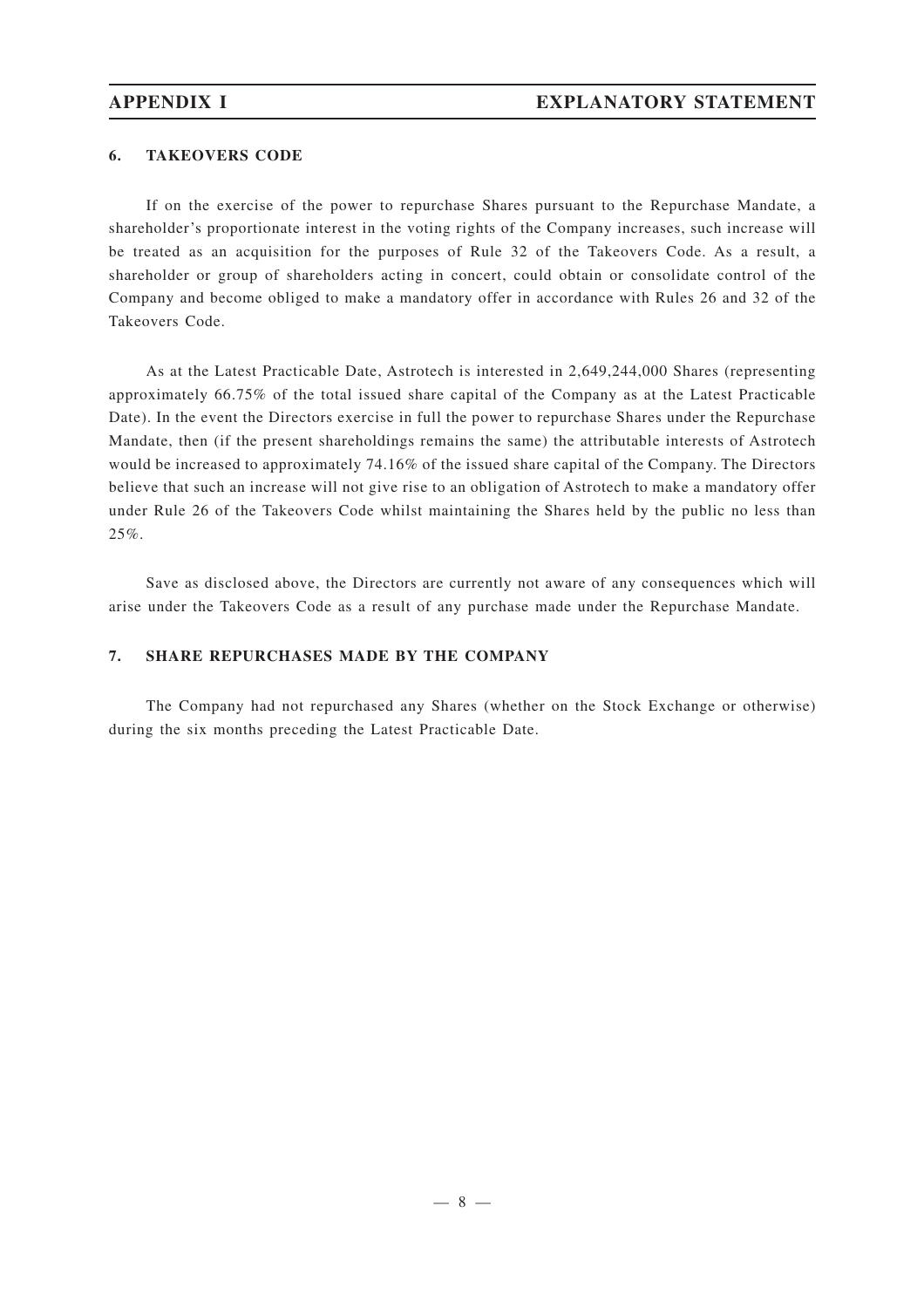#### **6. TAKEOVERS CODE**

If on the exercise of the power to repurchase Shares pursuant to the Repurchase Mandate, a shareholder 's proportionate interest in the voting rights of the Company increases, such increase will be treated as an acquisition for the purposes of Rule 32 of the Takeovers Code. As a result, a shareholder or group of shareholders acting in concert, could obtain or consolidate control of the Company and become obliged to make a mandatory offer in accordance with Rules 26 and 32 of the Takeovers Code.

As at the Latest Practicable Date, Astrotech is interested in 2,649,244,000 Shares (representing approximately 66.75% of the total issued share capital of the Company as at the Latest Practicable Date). In the event the Directors exercise in full the power to repurchase Shares under the Repurchase Mandate, then (if the present shareholdings remains the same) the attributable interests of Astrotech would be increased to approximately 74.16% of the issued share capital of the Company. The Directors believe that such an increase will not give rise to an obligation of Astrotech to make a mandatory offer under Rule 26 of the Takeovers Code whilst maintaining the Shares held by the public no less than 25%.

Save as disclosed above, the Directors are currently not aware of any consequences which will arise under the Takeovers Code as a result of any purchase made under the Repurchase Mandate.

### **7. SHARE REPURCHASES MADE BY THE COMPANY**

The Company had not repurchased any Shares (whether on the Stock Exchange or otherwise) during the six months preceding the Latest Practicable Date.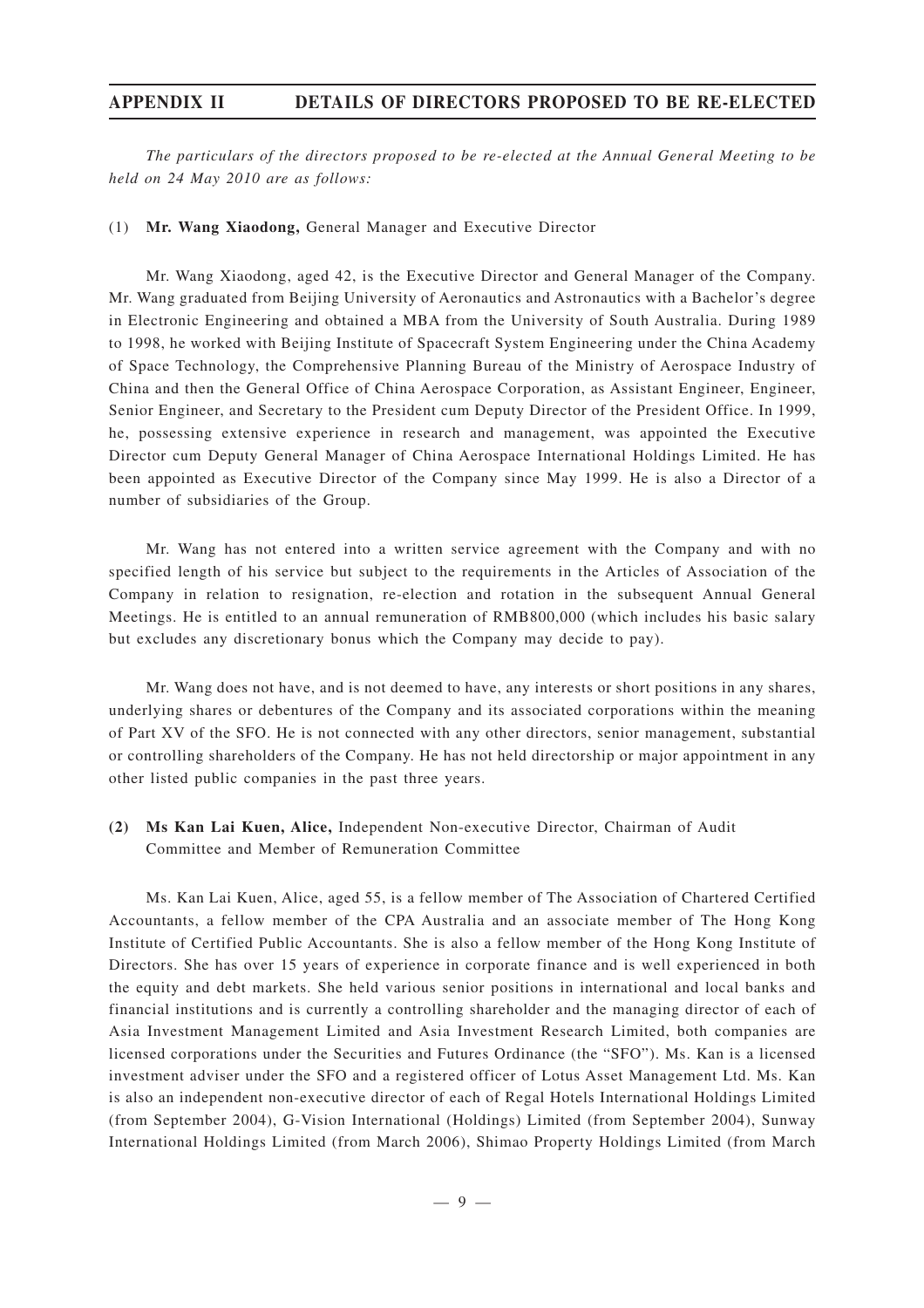## **APPENDIX II DETAILS OF DIRECTORS PROPOSED TO BE RE-ELECTED**

*The particulars of the directors proposed to be re-elected at the Annual General Meeting to be held on 24 May 2010 are as follows:*

#### (1) **Mr. Wang Xiaodong,** General Manager and Executive Director

Mr. Wang Xiaodong, aged 42, is the Executive Director and General Manager of the Company. Mr. Wang graduated from Beijing University of Aeronautics and Astronautics with a Bachelor 's degree in Electronic Engineering and obtained a MBA from the University of South Australia. During 1989 to 1998, he worked with Beijing Institute of Spacecraft System Engineering under the China Academy of Space Technology, the Comprehensive Planning Bureau of the Ministry of Aerospace Industry of China and then the General Office of China Aerospace Corporation, as Assistant Engineer, Engineer, Senior Engineer, and Secretary to the President cum Deputy Director of the President Office. In 1999, he, possessing extensive experience in research and management, was appointed the Executive Director cum Deputy General Manager of China Aerospace International Holdings Limited. He has been appointed as Executive Director of the Company since May 1999. He is also a Director of a number of subsidiaries of the Group.

Mr. Wang has not entered into a written service agreement with the Company and with no specified length of his service but subject to the requirements in the Articles of Association of the Company in relation to resignation, re-election and rotation in the subsequent Annual General Meetings. He is entitled to an annual remuneration of RMB800,000 (which includes his basic salary but excludes any discretionary bonus which the Company may decide to pay).

Mr. Wang does not have, and is not deemed to have, any interests or short positions in any shares, underlying shares or debentures of the Company and its associated corporations within the meaning of Part XV of the SFO. He is not connected with any other directors, senior management, substantial or controlling shareholders of the Company. He has not held directorship or major appointment in any other listed public companies in the past three years.

### **(2) Ms Kan Lai Kuen, Alice,** Independent Non-executive Director, Chairman of Audit Committee and Member of Remuneration Committee

Ms. Kan Lai Kuen, Alice, aged 55, is a fellow member of The Association of Chartered Certified Accountants, a fellow member of the CPA Australia and an associate member of The Hong Kong Institute of Certified Public Accountants. She is also a fellow member of the Hong Kong Institute of Directors. She has over 15 years of experience in corporate finance and is well experienced in both the equity and debt markets. She held various senior positions in international and local banks and financial institutions and is currently a controlling shareholder and the managing director of each of Asia Investment Management Limited and Asia Investment Research Limited, both companies are licensed corporations under the Securities and Futures Ordinance (the "SFO"). Ms. Kan is a licensed investment adviser under the SFO and a registered officer of Lotus Asset Management Ltd. Ms. Kan is also an independent non-executive director of each of Regal Hotels International Holdings Limited (from September 2004), G-Vision International (Holdings) Limited (from September 2004), Sunway International Holdings Limited (from March 2006), Shimao Property Holdings Limited (from March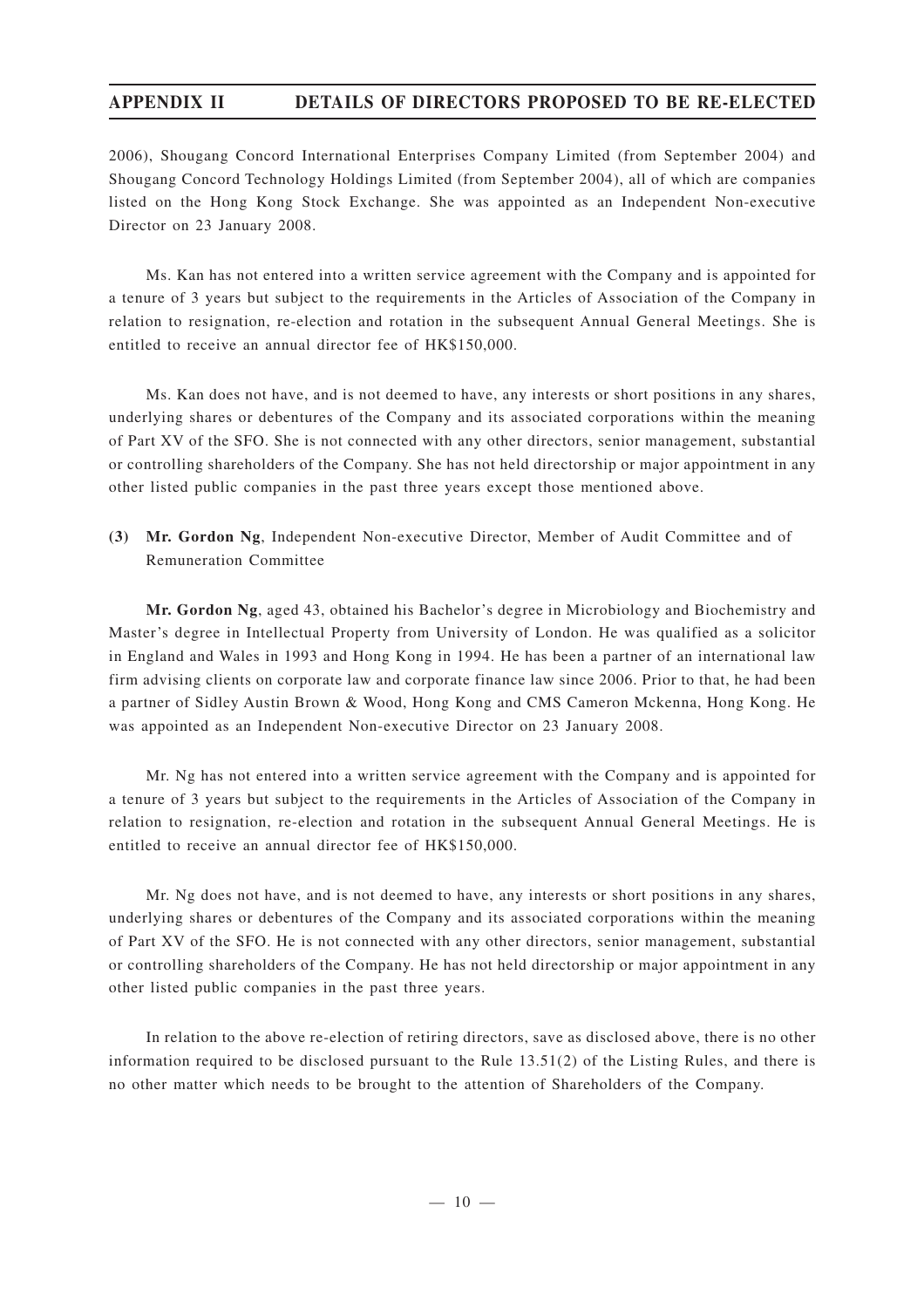# **APPENDIX II DETAILS OF DIRECTORS PROPOSED TO BE RE-ELECTED**

2006), Shougang Concord International Enterprises Company Limited (from September 2004) and Shougang Concord Technology Holdings Limited (from September 2004), all of which are companies listed on the Hong Kong Stock Exchange. She was appointed as an Independent Non-executive Director on 23 January 2008.

Ms. Kan has not entered into a written service agreement with the Company and is appointed for a tenure of 3 years but subject to the requirements in the Articles of Association of the Company in relation to resignation, re-election and rotation in the subsequent Annual General Meetings. She is entitled to receive an annual director fee of HK\$150,000.

Ms. Kan does not have, and is not deemed to have, any interests or short positions in any shares, underlying shares or debentures of the Company and its associated corporations within the meaning of Part XV of the SFO. She is not connected with any other directors, senior management, substantial or controlling shareholders of the Company. She has not held directorship or major appointment in any other listed public companies in the past three years except those mentioned above.

**(3) Mr. Gordon Ng**, Independent Non-executive Director, Member of Audit Committee and of Remuneration Committee

**Mr. Gordon Ng**, aged 43, obtained his Bachelor 's degree in Microbiology and Biochemistry and Master 's degree in Intellectual Property from University of London. He was qualified as a solicitor in England and Wales in 1993 and Hong Kong in 1994. He has been a partner of an international law firm advising clients on corporate law and corporate finance law since 2006. Prior to that, he had been a partner of Sidley Austin Brown & Wood, Hong Kong and CMS Cameron Mckenna, Hong Kong. He was appointed as an Independent Non-executive Director on 23 January 2008.

Mr. Ng has not entered into a written service agreement with the Company and is appointed for a tenure of 3 years but subject to the requirements in the Articles of Association of the Company in relation to resignation, re-election and rotation in the subsequent Annual General Meetings. He is entitled to receive an annual director fee of HK\$150,000.

Mr. Ng does not have, and is not deemed to have, any interests or short positions in any shares, underlying shares or debentures of the Company and its associated corporations within the meaning of Part XV of the SFO. He is not connected with any other directors, senior management, substantial or controlling shareholders of the Company. He has not held directorship or major appointment in any other listed public companies in the past three years.

In relation to the above re-election of retiring directors, save as disclosed above, there is no other information required to be disclosed pursuant to the Rule 13.51(2) of the Listing Rules, and there is no other matter which needs to be brought to the attention of Shareholders of the Company.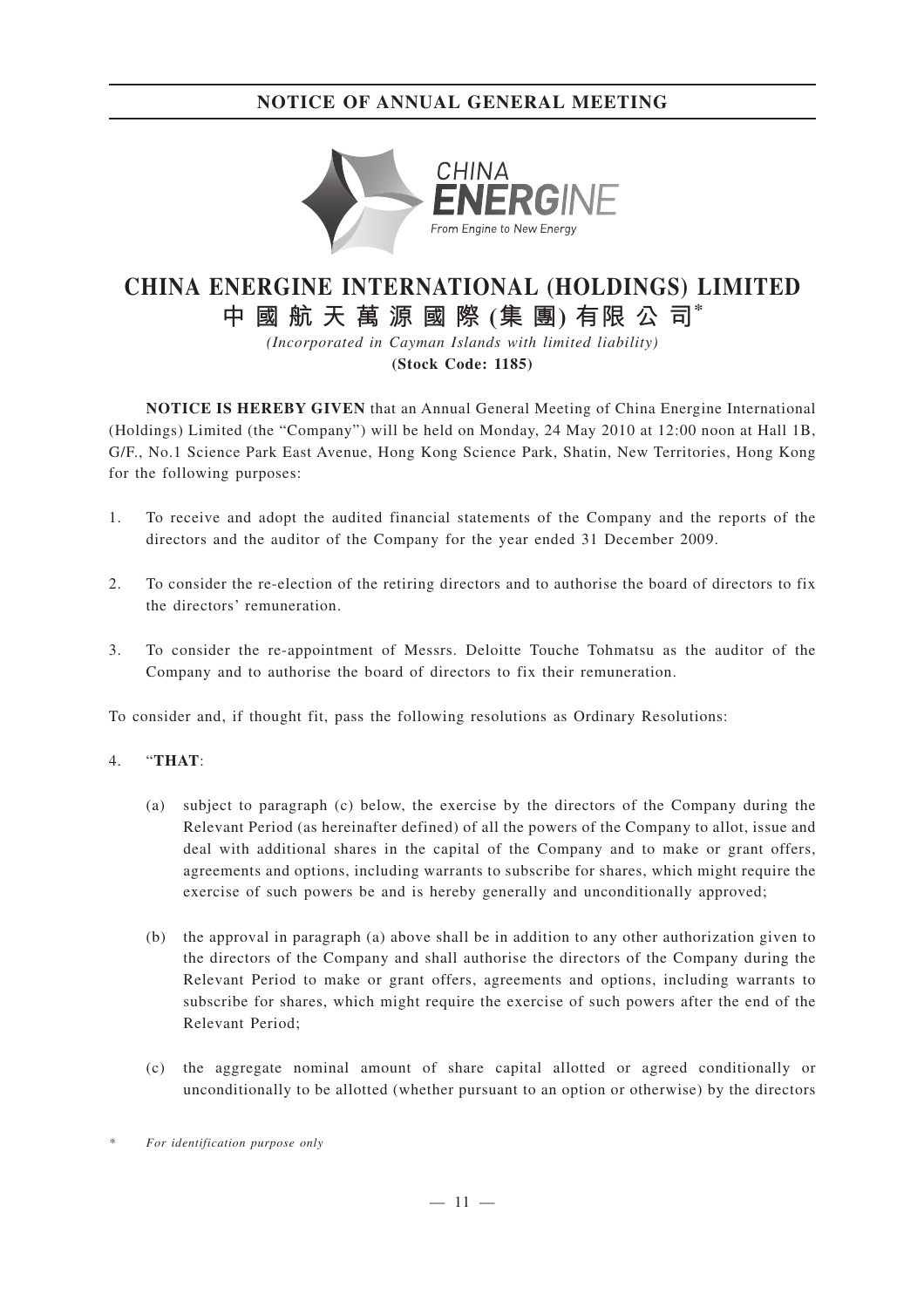# **NOTICE OF ANNUAL GENERAL MEETING**



# **CHINA ENERGINE INTERNATIONAL (HOLDINGS) LIMITED 中國航天萬源國際 (集 團) 有限 公 司\***

*(Incorporated in Cayman Islands with limited liability)* **(Stock Code: 1185)**

**NOTICE IS HEREBY GIVEN** that an Annual General Meeting of China Energine International (Holdings) Limited (the "Company") will be held on Monday, 24 May 2010 at 12:00 noon at Hall 1B, G/F., No.1 Science Park East Avenue, Hong Kong Science Park, Shatin, New Territories, Hong Kong for the following purposes:

- 1. To receive and adopt the audited financial statements of the Company and the reports of the directors and the auditor of the Company for the year ended 31 December 2009.
- 2. To consider the re-election of the retiring directors and to authorise the board of directors to fix the directors' remuneration.
- 3. To consider the re-appointment of Messrs. Deloitte Touche Tohmatsu as the auditor of the Company and to authorise the board of directors to fix their remuneration.

To consider and, if thought fit, pass the following resolutions as Ordinary Resolutions:

### 4. "**THAT**:

- (a) subject to paragraph (c) below, the exercise by the directors of the Company during the Relevant Period (as hereinafter defined) of all the powers of the Company to allot, issue and deal with additional shares in the capital of the Company and to make or grant offers, agreements and options, including warrants to subscribe for shares, which might require the exercise of such powers be and is hereby generally and unconditionally approved;
- (b) the approval in paragraph (a) above shall be in addition to any other authorization given to the directors of the Company and shall authorise the directors of the Company during the Relevant Period to make or grant offers, agreements and options, including warrants to subscribe for shares, which might require the exercise of such powers after the end of the Relevant Period;
- (c) the aggregate nominal amount of share capital allotted or agreed conditionally or unconditionally to be allotted (whether pursuant to an option or otherwise) by the directors

*<sup>\*</sup> For identification purpose only*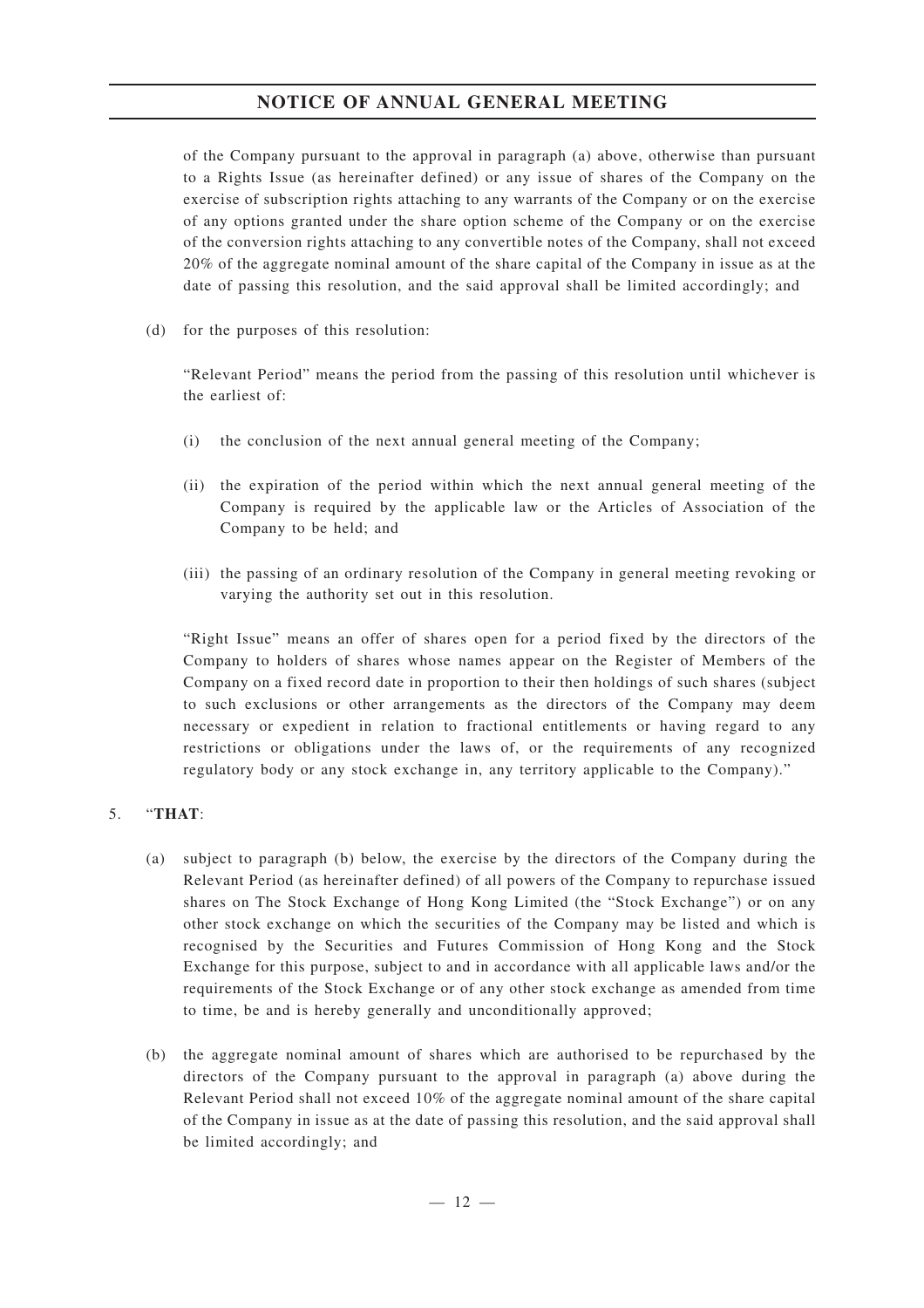## **NOTICE OF ANNUAL GENERAL MEETING**

of the Company pursuant to the approval in paragraph (a) above, otherwise than pursuant to a Rights Issue (as hereinafter defined) or any issue of shares of the Company on the exercise of subscription rights attaching to any warrants of the Company or on the exercise of any options granted under the share option scheme of the Company or on the exercise of the conversion rights attaching to any convertible notes of the Company, shall not exceed 20% of the aggregate nominal amount of the share capital of the Company in issue as at the date of passing this resolution, and the said approval shall be limited accordingly; and

(d) for the purposes of this resolution:

"Relevant Period" means the period from the passing of this resolution until whichever is the earliest of:

- (i) the conclusion of the next annual general meeting of the Company;
- (ii) the expiration of the period within which the next annual general meeting of the Company is required by the applicable law or the Articles of Association of the Company to be held; and
- (iii) the passing of an ordinary resolution of the Company in general meeting revoking or varying the authority set out in this resolution.

"Right Issue" means an offer of shares open for a period fixed by the directors of the Company to holders of shares whose names appear on the Register of Members of the Company on a fixed record date in proportion to their then holdings of such shares (subject to such exclusions or other arrangements as the directors of the Company may deem necessary or expedient in relation to fractional entitlements or having regard to any restrictions or obligations under the laws of, or the requirements of any recognized regulatory body or any stock exchange in, any territory applicable to the Company)."

### 5. "**THAT**:

- (a) subject to paragraph (b) below, the exercise by the directors of the Company during the Relevant Period (as hereinafter defined) of all powers of the Company to repurchase issued shares on The Stock Exchange of Hong Kong Limited (the "Stock Exchange") or on any other stock exchange on which the securities of the Company may be listed and which is recognised by the Securities and Futures Commission of Hong Kong and the Stock Exchange for this purpose, subject to and in accordance with all applicable laws and/or the requirements of the Stock Exchange or of any other stock exchange as amended from time to time, be and is hereby generally and unconditionally approved;
- (b) the aggregate nominal amount of shares which are authorised to be repurchased by the directors of the Company pursuant to the approval in paragraph (a) above during the Relevant Period shall not exceed 10% of the aggregate nominal amount of the share capital of the Company in issue as at the date of passing this resolution, and the said approval shall be limited accordingly; and